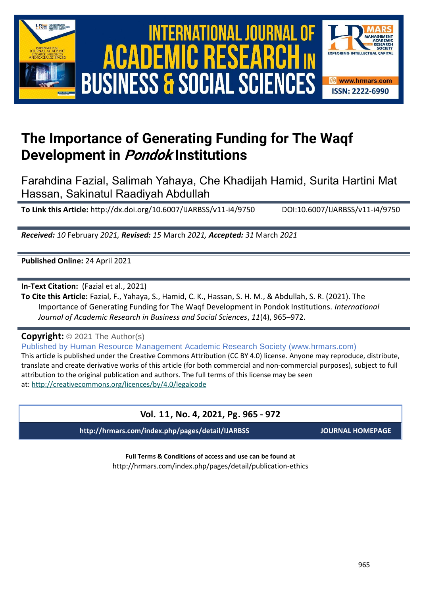



# **The Importance of Generating Funding for The Waqf Development in Pondok Institutions**

Farahdina Fazial, Salimah Yahaya, Che Khadijah Hamid, Surita Hartini Mat Hassan, Sakinatul Raadiyah Abdullah

**To Link this Article:** http://dx.doi.org/10.6007/IJARBSS/v11-i4/9750 DOI:10.6007/IJARBSS/v11-i4/9750

*Received: 10* February *2021, Revised: 15* March *2021, Accepted: 31* March *2021*

**Published Online:** 24 April 2021

**In-Text Citation:** (Fazial et al., 2021)

**To Cite this Article:** Fazial, F., Yahaya, S., Hamid, C. K., Hassan, S. H. M., & Abdullah, S. R. (2021). The Importance of Generating Funding for The Waqf Development in Pondok Institutions. *International Journal of Academic Research in Business and Social Sciences*, *11*(4), 965–972.

**Copyright:** © 2021 The Author(s)

Published by Human Resource Management Academic Research Society (www.hrmars.com) This article is published under the Creative Commons Attribution (CC BY 4.0) license. Anyone may reproduce, distribute, translate and create derivative works of this article (for both commercial and non-commercial purposes), subject to full attribution to the original publication and authors. The full terms of this license may be seen at: <http://creativecommons.org/licences/by/4.0/legalcode>

## **Vol. 11, No. 4, 2021, Pg. 965 - 972**

**http://hrmars.com/index.php/pages/detail/IJARBSS JOURNAL HOMEPAGE**

**Full Terms & Conditions of access and use can be found at** http://hrmars.com/index.php/pages/detail/publication-ethics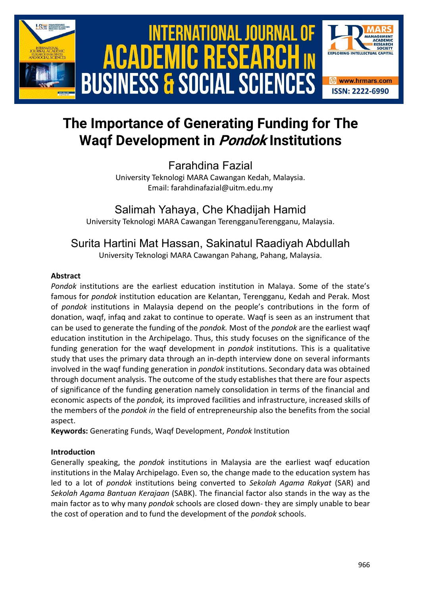

# **The Importance of Generating Funding for The Waqf Development in Pondok Institutions**

Farahdina Fazial University Teknologi MARA Cawangan Kedah, Malaysia. Email: farahdinafazial@uitm.edu.my

Salimah Yahaya, Che Khadijah Hamid

University Teknologi MARA Cawangan TerengganuTerengganu, Malaysia.

# Surita Hartini Mat Hassan, Sakinatul Raadiyah Abdullah

University Teknologi MARA Cawangan Pahang, Pahang, Malaysia.

#### **Abstract**

*Pondok* institutions are the earliest education institution in Malaya. Some of the state's famous for *pondok* institution education are Kelantan, Terengganu, Kedah and Perak. Most of *pondok* institutions in Malaysia depend on the people's contributions in the form of donation, waqf, infaq and zakat to continue to operate. Waqf is seen as an instrument that can be used to generate the funding of the *pondok.* Most of the *pondok* are the earliest waqf education institution in the Archipelago. Thus, this study focuses on the significance of the funding generation for the waqf development in *pondok* institutions. This is a qualitative study that uses the primary data through an in-depth interview done on several informants involved in the waqf funding generation in *pondok* institutions. Secondary data was obtained through document analysis. The outcome of the study establishes that there are four aspects of significance of the funding generation namely consolidation in terms of the financial and economic aspects of the *pondok,* its improved facilities and infrastructure, increased skills of the members of the *pondok in* the field of entrepreneurship also the benefits from the social aspect.

**Keywords:** Generating Funds, Waqf Development, *Pondok* Institution

#### **Introduction**

Generally speaking, the *pondok* institutions in Malaysia are the earliest waqf education institutions in the Malay Archipelago. Even so, the change made to the education system has led to a lot of *pondok* institutions being converted to *Sekolah Agama Rakyat* (SAR) and *Sekolah Agama Bantuan Kerajaan* (SABK). The financial factor also stands in the way as the main factor as to why many *pondok* schools are closed down- they are simply unable to bear the cost of operation and to fund the development of the *pondok* schools.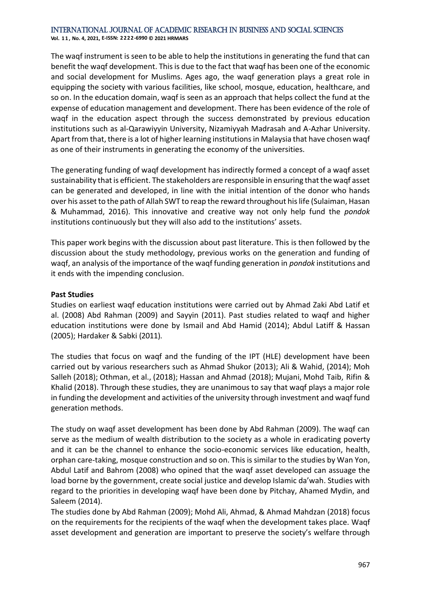**Vol. 1 1 , No. 4, 2021, E-ISSN: 2222-6990 © 2021 HRMARS**

The waqf instrument is seen to be able to help the institutions in generating the fund that can benefit the waqf development. This is due to the fact that waqf has been one of the economic and social development for Muslims. Ages ago, the waqf generation plays a great role in equipping the society with various facilities, like school, mosque, education, healthcare, and so on. In the education domain, waqf is seen as an approach that helps collect the fund at the expense of education management and development. There has been evidence of the role of waqf in the education aspect through the success demonstrated by previous education institutions such as al-Qarawiyyin University, Nizamiyyah Madrasah and A-Azhar University. Apart from that, there is a lot of higher learning institutions in Malaysia that have chosen waqf as one of their instruments in generating the economy of the universities.

The generating funding of waqf development has indirectly formed a concept of a waqf asset sustainability that is efficient. The stakeholders are responsible in ensuring that the waqf asset can be generated and developed, in line with the initial intention of the donor who hands over his asset to the path of Allah SWT to reap the reward throughout his life (Sulaiman, Hasan & Muhammad, 2016). This innovative and creative way not only help fund the *pondok* institutions continuously but they will also add to the institutions' assets.

This paper work begins with the discussion about past literature. This is then followed by the discussion about the study methodology, previous works on the generation and funding of waqf, an analysis of the importance of the waqf funding generation in *pondok* institutions and it ends with the impending conclusion.

#### **Past Studies**

Studies on earliest waqf education institutions were carried out by Ahmad Zaki Abd Latif et al. (2008) Abd Rahman (2009) and Sayyin (2011). Past studies related to waqf and higher education institutions were done by Ismail and Abd Hamid (2014); Abdul Latiff & Hassan (2005); Hardaker & Sabki (2011).

The studies that focus on waqf and the funding of the IPT (HLE) development have been carried out by various researchers such as Ahmad Shukor (2013); Ali & Wahid, (2014); Moh Salleh (2018); Othman, et al., (2018); Hassan and Ahmad (2018); Mujani, Mohd Taib, Rifin & Khalid (2018). Through these studies, they are unanimous to say that waqf plays a major role in funding the development and activities of the university through investment and waqf fund generation methods.

The study on waqf asset development has been done by Abd Rahman (2009). The waqf can serve as the medium of wealth distribution to the society as a whole in eradicating poverty and it can be the channel to enhance the socio-economic services like education, health, orphan care-taking, mosque construction and so on. This is similar to the studies by Wan Yon, Abdul Latif and Bahrom (2008) who opined that the waqf asset developed can assuage the load borne by the government, create social justice and develop Islamic da'wah. Studies with regard to the priorities in developing waqf have been done by Pitchay, Ahamed Mydin, and Saleem (2014).

The studies done by Abd Rahman (2009); Mohd Ali, Ahmad, & Ahmad Mahdzan (2018) focus on the requirements for the recipients of the waqf when the development takes place. Waqf asset development and generation are important to preserve the society's welfare through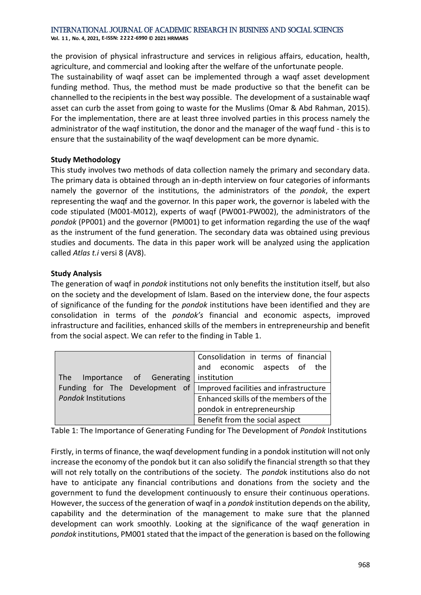**Vol. 1 1 , No. 4, 2021, E-ISSN: 2222-6990 © 2021 HRMARS**

the provision of physical infrastructure and services in religious affairs, education, health, agriculture, and commercial and looking after the welfare of the unfortunate people.

The sustainability of waqf asset can be implemented through a waqf asset development funding method. Thus, the method must be made productive so that the benefit can be channelled to the recipients in the best way possible. The development of a sustainable waqf asset can curb the asset from going to waste for the Muslims (Omar & Abd Rahman, 2015). For the implementation, there are at least three involved parties in this process namely the administrator of the waqf institution, the donor and the manager of the waqf fund - this is to ensure that the sustainability of the waqf development can be more dynamic.

#### **Study Methodology**

This study involves two methods of data collection namely the primary and secondary data. The primary data is obtained through an in-depth interview on four categories of informants namely the governor of the institutions, the administrators of the *pondok*, the expert representing the waqf and the governor. In this paper work, the governor is labeled with the code stipulated (M001-M012), experts of waqf (PW001-PW002), the administrators of the *pondok* (PP001) and the governor (PM001) to get information regarding the use of the waqf as the instrument of the fund generation. The secondary data was obtained using previous studies and documents. The data in this paper work will be analyzed using the application called *Atlas t.i* versi 8 (AV8).

#### **Study Analysis**

The generation of waqf in *pondok* institutions not only benefits the institution itself, but also on the society and the development of Islam. Based on the interview done, the four aspects of significance of the funding for the *pondok* institutions have been identified and they are consolidation in terms of the *pondok's* financial and economic aspects, improved infrastructure and facilities, enhanced skills of the members in entrepreneurship and benefit from the social aspect. We can refer to the finding in Table 1.

|                                 | Consolidation in terms of financial    |
|---------------------------------|----------------------------------------|
|                                 | and economic aspects of the            |
| Importance of Generating<br>The | institution                            |
| Funding for The Development of  | Improved facilities and infrastructure |
| <b>Pondok Institutions</b>      | Enhanced skills of the members of the  |
|                                 | pondok in entrepreneurship             |
|                                 | Benefit from the social aspect         |

Table 1: The Importance of Generating Funding for The Development of *Pondok* Institutions

Firstly, in terms of finance, the waqf development funding in a pondok institution will not only increase the economy of the pondok but it can also solidify the financial strength so that they will not rely totally on the contributions of the society. The *pondo*k institutions also do not have to anticipate any financial contributions and donations from the society and the government to fund the development continuously to ensure their continuous operations. However, the success of the generation of waqf in a *pondok* institution depends on the ability, capability and the determination of the management to make sure that the planned development can work smoothly. Looking at the significance of the waqf generation in *pondok* institutions, PM001 stated that the impact of the generation is based on the following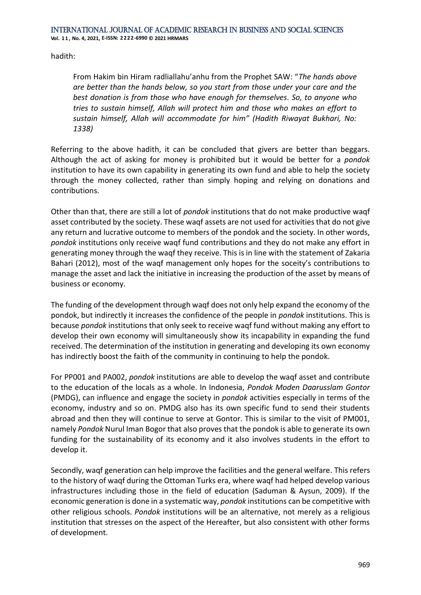hadith:

From Hakim bin Hiram radliallahu'anhu from the Prophet SAW: "*The hands above are better than the hands below, so you start from those under your care and the best donation is from those who have enough for themselves. So, to anyone who tries to sustain himself, Allah will protect him and those who makes an effort to sustain himself, Allah will accommodate for him" (Hadith Riwayat Bukhari, No: 1338)*

Referring to the above hadith, it can be concluded that givers are better than beggars. Although the act of asking for money is prohibited but it would be better for a *pondok*  institution to have its own capability in generating its own fund and able to help the society through the money collected, rather than simply hoping and relying on donations and contributions.

Other than that, there are still a lot of *pondok* institutions that do not make productive waqf asset contributed by the society. These waqf assets are not used for activities that do not give any return and lucrative outcome to members of the pondok and the society. In other words, *pondok* institutions only receive waqf fund contributions and they do not make any effort in generating money through the waqf they receive. This is in line with the statement of Zakaria Bahari (2012), most of the waqf management only hopes for the soceity's contributions to manage the asset and lack the initiative in increasing the production of the asset by means of business or economy.

The funding of the development through waqf does not only help expand the economy of the pondok, but indirectly it increases the confidence of the people in *pondok* institutions. This is because *pondok* institutions that only seek to receive waqf fund without making any effort to develop their own economy will simultaneously show its incapability in expanding the fund received. The determination of the institution in generating and developing its own economy has indirectly boost the faith of the community in continuing to help the pondok.

For PP001 and PA002, *pondok* institutions are able to develop the waqf asset and contribute to the education of the locals as a whole. In Indonesia, *Pondok Moden Daarusslam Gontor* (PMDG), can influence and engage the society in *pondok* activities especially in terms of the economy, industry and so on. PMDG also has its own specific fund to send their students abroad and then they will continue to serve at Gontor. This is similar to the visit of PM001, namely *Pondok* Nurul Iman Bogor that also proves that the pondok is able to generate its own funding for the sustainability of its economy and it also involves students in the effort to develop it.

Secondly, waqf generation can help improve the facilities and the general welfare. This refers to the history of waqf during the Ottoman Turks era, where waqf had helped develop various infrastructures including those in the field of education (Saduman & Aysun, 2009). If the economic generation is done in a systematic way, *pondok* institutions can be competitive with other religious schools. *Pondok* institutions will be an alternative, not merely as a religious institution that stresses on the aspect of the Hereafter, but also consistent with other forms of development.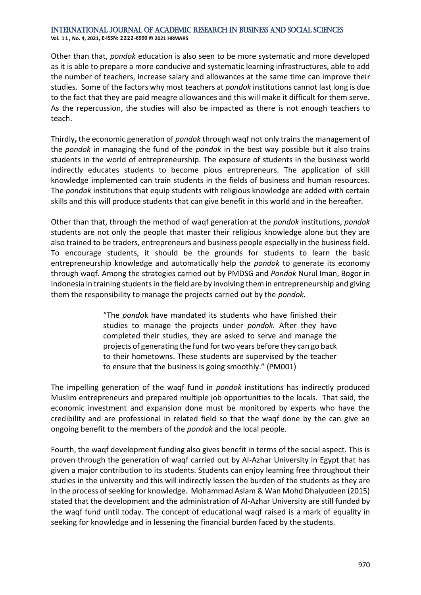**Vol. 1 1 , No. 4, 2021, E-ISSN: 2222-6990 © 2021 HRMARS**

Other than that, *pondok* education is also seen to be more systematic and more developed as it is able to prepare a more conducive and systematic learning infrastructures, able to add the number of teachers, increase salary and allowances at the same time can improve their studies. Some of the factors why most teachers at *pondok* institutions cannot last long is due to the fact that they are paid meagre allowances and this will make it difficult for them serve. As the repercussion, the studies will also be impacted as there is not enough teachers to teach.

Thirdly**,** the economic generation of *pondok* through waqf not only trains the management of the *pondok* in managing the fund of the *pondok* in the best way possible but it also trains students in the world of entrepreneurship. The exposure of students in the business world indirectly educates students to become pious entrepreneurs. The application of skill knowledge implemented can train students in the fields of business and human resources. The *pondok* institutions that equip students with religious knowledge are added with certain skills and this will produce students that can give benefit in this world and in the hereafter.

Other than that, through the method of waqf generation at the *pondok* institutions, *pondok* students are not only the people that master their religious knowledge alone but they are also trained to be traders, entrepreneurs and business people especially in the business field. To encourage students, it should be the grounds for students to learn the basic entrepreneurship knowledge and automatically help the *pondok* to generate its economy through waqf. Among the strategies carried out by PMDSG and *Pondok* Nurul Iman, Bogor in Indonesia in training students in the field are by involving them in entrepreneurship and giving them the responsibility to manage the projects carried out by the *pondok.*

> "The *pondo*k have mandated its students who have finished their studies to manage the projects under *pondok.* After they have completed their studies, they are asked to serve and manage the projects of generating the fund for two years before they can go back to their hometowns. These students are supervised by the teacher to ensure that the business is going smoothly." (PM001)

The impelling generation of the waqf fund in *pondok* institutions has indirectly produced Muslim entrepreneurs and prepared multiple job opportunities to the locals. That said, the economic investment and expansion done must be monitored by experts who have the credibility and are professional in related field so that the waqf done by the can give an ongoing benefit to the members of the *pondok* and the local people.

Fourth, the waqf development funding also gives benefit in terms of the social aspect. This is proven through the generation of waqf carried out by Al-Azhar University in Egypt that has given a major contribution to its students. Students can enjoy learning free throughout their studies in the university and this will indirectly lessen the burden of the students as they are in the process of seeking for knowledge. Mohammad Aslam & Wan Mohd Dhaiyudeen (2015) stated that the development and the administration of Al-Azhar University are still funded by the waqf fund until today. The concept of educational waqf raised is a mark of equality in seeking for knowledge and in lessening the financial burden faced by the students.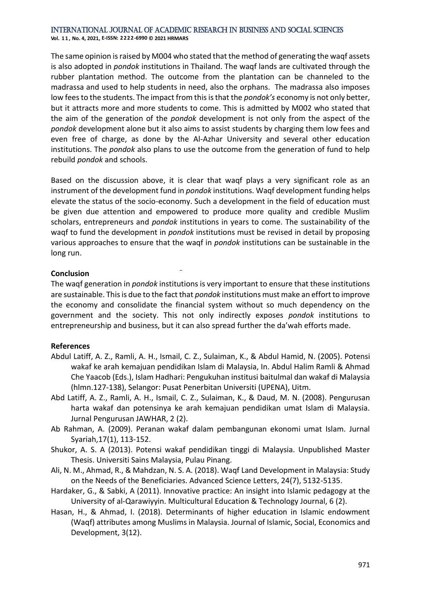**Vol. 1 1 , No. 4, 2021, E-ISSN: 2222-6990 © 2021 HRMARS**

The same opinion is raised by M004 who stated that the method of generating the waqf assets is also adopted in *pondok* institutions in Thailand. The waqf lands are cultivated through the rubber plantation method. The outcome from the plantation can be channeled to the madrassa and used to help students in need, also the orphans. The madrassa also imposes low fees to the students. The impact from this is that the *pondok's* economy is not only better, but it attracts more and more students to come. This is admitted by M002 who stated that the aim of the generation of the *pondok* development is not only from the aspect of the *pondok* development alone but it also aims to assist students by charging them low fees and even free of charge, as done by the Al-Azhar University and several other education institutions. The *pondok* also plans to use the outcome from the generation of fund to help rebuild *pondok* and schools.

Based on the discussion above, it is clear that waqf plays a very significant role as an instrument of the development fund in *pondok* institutions. Waqf development funding helps elevate the status of the socio-economy. Such a development in the field of education must be given due attention and empowered to produce more quality and credible Muslim scholars, entrepreneurs and *pondok* institutions in years to come. The sustainability of the waqf to fund the development in *pondok* institutions must be revised in detail by proposing various approaches to ensure that the waqf in *pondok* institutions can be sustainable in the long run.

#### **Conclusion**

The waqf generation in *pondok* institutions is very important to ensure that these institutions are sustainable. This is due to the fact that *pondok* institutions must make an effort to improve the economy and consolidate the financial system without so much dependency on the government and the society. This not only indirectly exposes *pondok* institutions to entrepreneurship and business, but it can also spread further the da'wah efforts made.

#### **References**

- Abdul Latiff, A. Z., Ramli, A. H., Ismail, C. Z., Sulaiman, K., & Abdul Hamid, N. (2005). Potensi wakaf ke arah kemajuan pendidikan Islam di Malaysia, In. Abdul Halim Ramli & Ahmad Che Yaacob (Eds.), Islam Hadhari: Pengukuhan institusi baitulmal dan wakaf di Malaysia (hlmn.127-138), Selangor: Pusat Penerbitan Universiti (UPENA), Uitm.
- Abd Latiff, A. Z., Ramli, A. H., Ismail, C. Z., Sulaiman, K., & Daud, M. N. (2008). Pengurusan harta wakaf dan potensinya ke arah kemajuan pendidikan umat Islam di Malaysia. Jurnal Pengurusan JAWHAR, 2 (2).
- Ab Rahman, A. (2009). Peranan wakaf dalam pembangunan ekonomi umat Islam. Jurnal Syariah,17(1), 113-152.
- Shukor, A. S. A (2013). Potensi wakaf pendidikan tinggi di Malaysia. Unpublished Master Thesis. Universiti Sains Malaysia, Pulau Pinang.
- Ali, N. M., Ahmad, R., & Mahdzan, N. S. A. (2018). Waqf Land Development in Malaysia: Study on the Needs of the Beneficiaries. Advanced Science Letters, 24(7), 5132-5135.
- Hardaker, G., & Sabki, A (2011). Innovative practice: An insight into Islamic pedagogy at the University of al-Qarawiyyin. Multicultural Education & Technology Journal, 6 (2).
- Hasan, H., & Ahmad, I. (2018). Determinants of higher education in Islamic endowment (Waqf) attributes among Muslims in Malaysia. Journal of Islamic, Social, Economics and Development, 3(12).